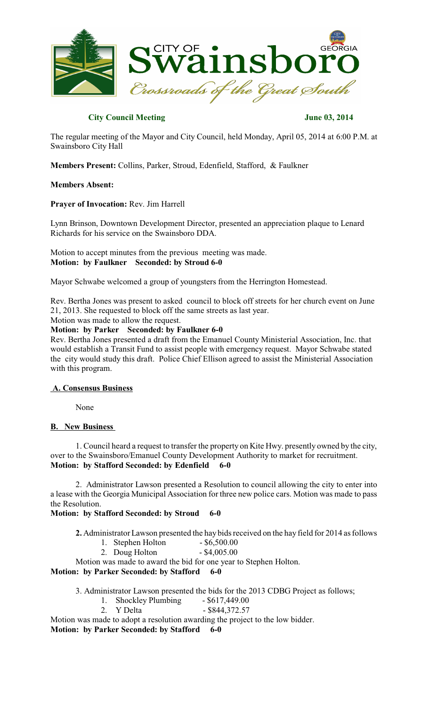

## **City Council Meeting June 03, 2014**

The regular meeting of the Mayor and City Council, held Monday, April 05, 2014 at 6:00 P.M. at Swainsboro City Hall

**Members Present:** Collins, Parker, Stroud, Edenfield, Stafford, & Faulkner

#### **Members Absent:**

**Prayer of Invocation:** Rev. Jim Harrell

Lynn Brinson, Downtown Development Director, presented an appreciation plaque to Lenard Richards for his service on the Swainsboro DDA.

Motion to accept minutes from the previous meeting was made. **Motion: by Faulkner Seconded: by Stroud 6-0**

Mayor Schwabe welcomed a group of youngsters from the Herrington Homestead.

Rev. Bertha Jones was present to asked council to block off streets for her church event on June 21, 2013. She requested to block off the same streets as last year.

Motion was made to allow the request.

**Motion: by Parker Seconded: by Faulkner 6-0**

Rev. Bertha Jones presented a draft from the Emanuel County Ministerial Association, Inc. that would establish a Transit Fund to assist people with emergency request. Mayor Schwabe stated the city would study this draft. Police Chief Ellison agreed to assist the Ministerial Association with this program.

### **A. Consensus Business**

None

### **B. New Business**

1. Council heard a request to transfer the property on Kite Hwy. presently owned by the city, over to the Swainsboro/Emanuel County Development Authority to market for recruitment. **Motion: by Stafford Seconded: by Edenfield 6-0**

2. Administrator Lawson presented a Resolution to council allowing the city to enter into a lease with the Georgia Municipal Association for three new police cars. Motion was made to pass the Resolution.

**Motion: by Stafford Seconded: by Stroud 6-0**

**2.** Administrator Lawson presented the hay bidsreceived on the hay field for 2014 asfollows

- 1. Stephen Holton \$6,500.00<br>2. Doug Holton \$4,005.00
- 2. Doug Holton

Motion was made to award the bid for one year to Stephen Holton.

**Motion: by Parker Seconded: by Stafford 6-0**

3. Administrator Lawson presented the bids for the 2013 CDBG Project as follows;

- 1. Shockley Plumbing \$617,449.00
- 2. Y Delta \$844,372.57

Motion was made to adopt a resolution awarding the project to the low bidder.

**Motion: by Parker Seconded: by Stafford 6-0**